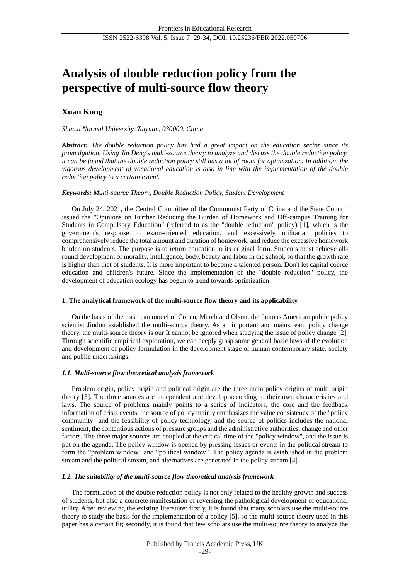# **Analysis of double reduction policy from the perspective of multi-source flow theory**

# **Xuan Kong**

# *Shanxi Normal University, Taiyuan, 030000, China*

*Abstract: The double reduction policy has had a great impact on the education sector since its promulgation. Using Jin Deng's multi-source theory to analyze and discuss the double reduction policy, it can be found that the double reduction policy still has a lot of room for optimization. In addition, the vigorous development of vocational education is also in line with the implementation of the double reduction policy to a certain extent.*

# *Keywords: Multi-source Theory, Double Reduction Policy, Student Development*

On July 24, 2021, the Central Committee of the Communist Party of China and the State Council issued the "Opinions on Further Reducing the Burden of Homework and Off-campus Training for Students in Compulsory Education" (referred to as the "double reduction" policy) [1], which is the government's response to exam-oriented education. and excessively utilitarian policies to comprehensively reduce the total amount and duration of homework, and reduce the excessive homework burden on students. The purpose is to return education to its original form. Students must achieve allround development of morality, intelligence, body, beauty and labor in the school, so that the growth rate is higher than that of students. It is more important to become a talented person. Don't let capital coerce education and children's future. Since the implementation of the "double reduction" policy, the development of education ecology has begun to trend towards optimization.

## **1. The analytical framework of the multi-source flow theory and its applicability**

On the basis of the trash can model of Cohen, March and Olson, the famous American public policy scientist Jindon established the multi-source theory. As an important and mainstream policy change theory, the multi-source theory is our It cannot be ignored when studying the issue of policy change [2]. Through scientific empirical exploration, we can deeply grasp some general basic laws of the evolution and development of policy formulation in the development stage of human contemporary state, society and public undertakings.

# *1.1. Multi-source flow theoretical analysis framework*

Problem origin, policy origin and political origin are the three main policy origins of multi origin theory [3]. The three sources are independent and develop according to their own characteristics and laws. The source of problems mainly points to a series of indicators, the core and the feedback information of crisis events, the source of policy mainly emphasizes the value consistency of the "policy community" and the feasibility of policy technology, and the source of politics includes the national sentiment, the contentious actions of pressure groups and the administrative authorities. change and other factors. The three major sources are coupled at the critical time of the "policy window", and the issue is put on the agenda. The policy window is opened by pressing issues or events in the political stream to form the "problem window" and "political window". The policy agenda is established in the problem stream and the political stream, and alternatives are generated in the policy stream [4].

# *1.2. The suitability of the multi-source flow theoretical analysis framework*

The formulation of the double reduction policy is not only related to the healthy growth and success of students, but also a concrete manifestation of reversing the pathological development of educational utility. After reviewing the existing literature: firstly, it is found that many scholars use the multi-source theory to study the basis for the implementation of a policy [5], so the multi-source theory used in this paper has a certain fit; secondly, it is found that few scholars use the multi-source theory to analyze the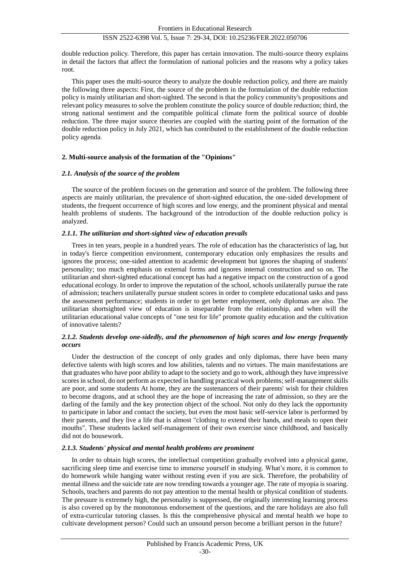double reduction policy. Therefore, this paper has certain innovation. The multi-source theory explains in detail the factors that affect the formulation of national policies and the reasons why a policy takes root.

This paper uses the multi-source theory to analyze the double reduction policy, and there are mainly the following three aspects: First, the source of the problem in the formulation of the double reduction policy is mainly utilitarian and short-sighted. The second is that the policy community's propositions and relevant policy measures to solve the problem constitute the policy source of double reduction; third, the strong national sentiment and the compatible political climate form the political source of double reduction. The three major source theories are coupled with the starting point of the formation of the double reduction policy in July 2021, which has contributed to the establishment of the double reduction policy agenda.

#### **2. Multi-source analysis of the formation of the "Opinions"**

#### *2.1. Analysis of the source of the problem*

The source of the problem focuses on the generation and source of the problem. The following three aspects are mainly utilitarian, the prevalence of short-sighted education, the one-sided development of students, the frequent occurrence of high scores and low energy, and the prominent physical and mental health problems of students. The background of the introduction of the double reduction policy is analyzed.

#### *2.1.1. The utilitarian and short-sighted view of education prevails*

Trees in ten years, people in a hundred years. The role of education has the characteristics of lag, but in today's fierce competition environment, contemporary education only emphasizes the results and ignores the process; one-sided attention to academic development but ignores the shaping of students' personality; too much emphasis on external forms and ignores internal construction and so on. The utilitarian and short-sighted educational concept has had a negative impact on the construction of a good educational ecology. In order to improve the reputation of the school, schools unilaterally pursue the rate of admission; teachers unilaterally pursue student scores in order to complete educational tasks and pass the assessment performance; students in order to get better employment, only diplomas are also. The utilitarian shortsighted view of education is inseparable from the relationship, and when will the utilitarian educational value concepts of "one test for life" promote quality education and the cultivation of innovative talents?

# *2.1.2. Students develop one-sidedly, and the phenomenon of high scores and low energy frequently occurs*

Under the destruction of the concept of only grades and only diplomas, there have been many defective talents with high scores and low abilities, talents and no virtues. The main manifestations are that graduates who have poor ability to adapt to the society and go to work, although they have impressive scores in school, do not perform as expected in handling practical work problems; self-management skills are poor, and some students At home, they are the sustenancers of their parents' wish for their children to become dragons, and at school they are the hope of increasing the rate of admission, so they are the darling of the family and the key protection object of the school. Not only do they lack the opportunity to participate in labor and contact the society, but even the most basic self-service labor is performed by their parents, and they live a life that is almost "clothing to extend their hands, and meals to open their mouths". These students lacked self-management of their own exercise since childhood, and basically did not do housework.

#### *2.1.3. Students' physical and mental health problems are prominent*

In order to obtain high scores, the intellectual competition gradually evolved into a physical game, sacrificing sleep time and exercise time to immerse yourself in studying. What's more, it is common to do homework while hanging water without resting even if you are sick. Therefore, the probability of mental illness and the suicide rate are now trending towards a younger age. The rate of myopia is soaring. Schools, teachers and parents do not pay attention to the mental health or physical condition of students. The pressure is extremely high, the personality is suppressed, the originally interesting learning process is also covered up by the monotonous endorsement of the questions, and the rare holidays are also full of extra-curricular tutoring classes. Is this the comprehensive physical and mental health we hope to cultivate development person? Could such an unsound person become a brilliant person in the future?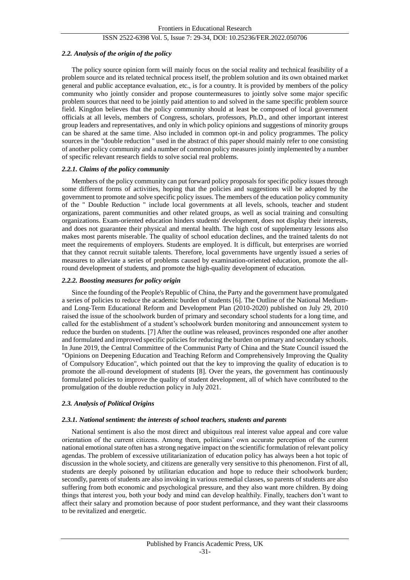# *2.2. Analysis of the origin of the policy*

The policy source opinion form will mainly focus on the social reality and technical feasibility of a problem source and its related technical process itself, the problem solution and its own obtained market general and public acceptance evaluation, etc., is for a country. It is provided by members of the policy community who jointly consider and propose countermeasures to jointly solve some major specific problem sources that need to be jointly paid attention to and solved in the same specific problem source field. Kingdon believes that the policy community should at least be composed of local government officials at all levels, members of Congress, scholars, professors, Ph.D., and other important interest group leaders and representatives, and only in which policy opinions and suggestions of minority groups can be shared at the same time. Also included in common opt-in and policy programmes. The policy sources in the "double reduction " used in the abstract of this paper should mainly refer to one consisting of another policy community and a number of common policy measures jointly implemented by a number of specific relevant research fields to solve social real problems.

## *2.2.1. Claims of the policy community*

Members of the policy community can put forward policy proposals for specific policy issues through some different forms of activities, hoping that the policies and suggestions will be adopted by the government to promote and solve specific policy issues. The members of the education policy community of the " Double Reduction " include local governments at all levels, schools, teacher and student organizations, parent communities and other related groups, as well as social training and consulting organizations. Exam-oriented education hinders students' development, does not display their interests, and does not guarantee their physical and mental health. The high cost of supplementary lessons also makes most parents miserable. The quality of school education declines, and the trained talents do not meet the requirements of employers. Students are employed. It is difficult, but enterprises are worried that they cannot recruit suitable talents. Therefore, local governments have urgently issued a series of measures to alleviate a series of problems caused by examination-oriented education, promote the allround development of students, and promote the high-quality development of education.

## *2.2.2. Boosting measures for policy origin*

Since the founding of the People's Republic of China, the Party and the government have promulgated a series of policies to reduce the academic burden of students [6]. The Outline of the National Mediumand Long-Term Educational Reform and Development Plan (2010-2020) published on July 29, 2010 raised the issue of the schoolwork burden of primary and secondary school students for a long time, and called for the establishment of a student's schoolwork burden monitoring and announcement system to reduce the burden on students. [7] After the outline was released, provinces responded one after another and formulated and improved specific policies for reducing the burden on primary and secondary schools. In June 2019, the Central Committee of the Communist Party of China and the State Council issued the "Opinions on Deepening Education and Teaching Reform and Comprehensively Improving the Quality of Compulsory Education", which pointed out that the key to improving the quality of education is to promote the all-round development of students [8]. Over the years, the government has continuously formulated policies to improve the quality of student development, all of which have contributed to the promulgation of the double reduction policy in July 2021.

# *2.3. Analysis of Political Origins*

## *2.3.1. National sentiment: the interests of school teachers, students and parents*

National sentiment is also the most direct and ubiquitous real interest value appeal and core value orientation of the current citizens. Among them, politicians' own accurate perception of the current national emotional state often has a strong negative impact on the scientific formulation of relevant policy agendas. The problem of excessive utilitarianization of education policy has always been a hot topic of discussion in the whole society, and citizens are generally very sensitive to this phenomenon. First of all, students are deeply poisoned by utilitarian education and hope to reduce their schoolwork burden; secondly, parents of students are also invoking in various remedial classes, so parents of students are also suffering from both economic and psychological pressure, and they also want more children. By doing things that interest you, both your body and mind can develop healthily. Finally, teachers don't want to affect their salary and promotion because of poor student performance, and they want their classrooms to be revitalized and energetic.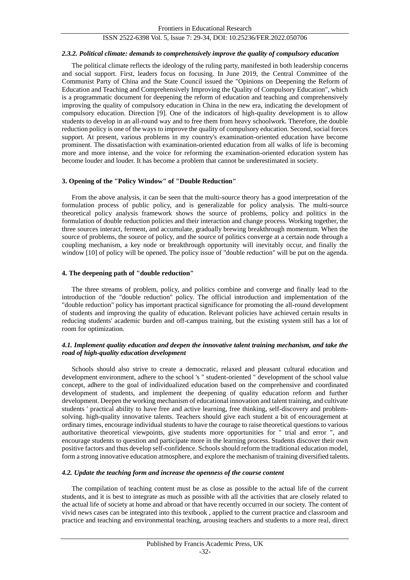#### *2.3.2. Political climate: demands to comprehensively improve the quality of compulsory education*

The political climate reflects the ideology of the ruling party, manifested in both leadership concerns and social support. First, leaders focus on focusing. In June 2019, the Central Committee of the Communist Party of China and the State Council issued the "Opinions on Deepening the Reform of Education and Teaching and Comprehensively Improving the Quality of Compulsory Education", which is a programmatic document for deepening the reform of education and teaching and comprehensively improving the quality of compulsory education in China in the new era, indicating the development of compulsory education. Direction [9]. One of the indicators of high-quality development is to allow students to develop in an all-round way and to free them from heavy schoolwork. Therefore, the double reduction policy is one of the ways to improve the quality of compulsory education. Second, social forces support. At present, various problems in my country's examination-oriented education have become prominent. The dissatisfaction with examination-oriented education from all walks of life is becoming more and more intense, and the voice for reforming the examination-oriented education system has become louder and louder. It has become a problem that cannot be underestimated in society.

#### **3. Opening of the "Policy Window" of "Double Reduction"**

From the above analysis, it can be seen that the multi-source theory has a good interpretation of the formulation process of public policy, and is generalizable for policy analysis. The multi-source theoretical policy analysis framework shows the source of problems, policy and politics in the formulation of double reduction policies and their interaction and change process. Working together, the three sources interact, ferment, and accumulate, gradually brewing breakthrough momentum. When the source of problems, the source of policy, and the source of politics converge at a certain node through a coupling mechanism, a key node or breakthrough opportunity will inevitably occur, and finally the window [10] of policy will be opened. The policy issue of "double reduction" will be put on the agenda.

#### **4. The deepening path of "double reduction"**

The three streams of problem, policy, and politics combine and converge and finally lead to the introduction of the "double reduction" policy. The official introduction and implementation of the "double reduction" policy has important practical significance for promoting the all-round development of students and improving the quality of education. Relevant policies have achieved certain results in reducing students' academic burden and off-campus training, but the existing system still has a lot of room for optimization.

#### *4.1. Implement quality education and deepen the innovative talent training mechanism, and take the road of high-quality education development*

Schools should also strive to create a democratic, relaxed and pleasant cultural education and development environment, adhere to the school 's " student-oriented " development of the school value concept, adhere to the goal of individualized education based on the comprehensive and coordinated development of students, and implement the deepening of quality education reform and further development. Deepen the working mechanism of educational innovation and talent training, and cultivate students ' practical ability to have free and active learning, free thinking, self-discovery and problemsolving. high-quality innovative talents. Teachers should give each student a bit of encouragement at ordinary times, encourage individual students to have the courage to raise theoretical questions to various authoritative theoretical viewpoints, give students more opportunities for " trial and error ", and encourage students to question and participate more in the learning process. Students discover their own positive factors and thus develop self-confidence. Schools should reform the traditional education model, form a strong innovative education atmosphere, and explore the mechanism of training diversified talents.

#### *4.2. Update the teaching form and increase the openness of the course content*

The compilation of teaching content must be as close as possible to the actual life of the current students, and it is best to integrate as much as possible with all the activities that are closely related to the actual life of society at home and abroad or that have recently occurred in our society. The content of vivid news cases can be integrated into this textbook , applied to the current practice and classroom and practice and teaching and environmental teaching, arousing teachers and students to a more real, direct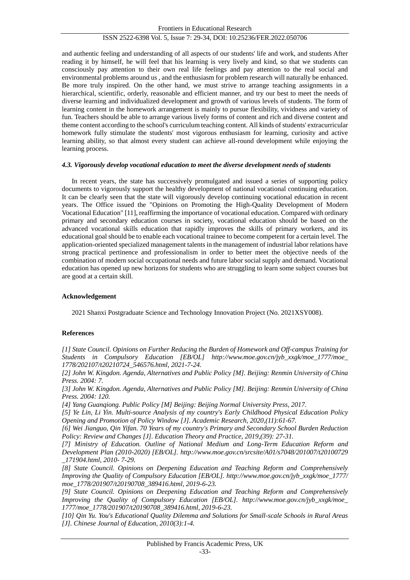and authentic feeling and understanding of all aspects of our students' life and work, and students After reading it by himself, he will feel that his learning is very lively and kind, so that we students can consciously pay attention to their own real life feelings and pay attention to the real social and environmental problems around us , and the enthusiasm for problem research will naturally be enhanced. Be more truly inspired. On the other hand, we must strive to arrange teaching assignments in a hierarchical, scientific, orderly, reasonable and efficient manner, and try our best to meet the needs of diverse learning and individualized development and growth of various levels of students. The form of learning content in the homework arrangement is mainly to pursue flexibility, vividness and variety of fun. Teachers should be able to arrange various lively forms of content and rich and diverse content and theme content according to the school's curriculum teaching content. All kinds of students' extracurricular homework fully stimulate the students' most vigorous enthusiasm for learning, curiosity and active learning ability, so that almost every student can achieve all-round development while enjoying the learning process.

#### *4.3. Vigorously develop vocational education to meet the diverse development needs of students*

In recent years, the state has successively promulgated and issued a series of supporting policy documents to vigorously support the healthy development of national vocational continuing education. It can be clearly seen that the state will vigorously develop continuing vocational education in recent years. The Office issued the "Opinions on Promoting the High-Quality Development of Modern Vocational Education" [11], reaffirming the importance of vocational education. Compared with ordinary primary and secondary education courses in society, vocational education should be based on the advanced vocational skills education that rapidly improves the skills of primary workers, and its educational goal should be to enable each vocational trainee to become competent for a certain level. The application-oriented specialized management talents in the management of industrial labor relations have strong practical pertinence and professionalism in order to better meet the objective needs of the combination of modern social occupational needs and future labor social supply and demand. Vocational education has opened up new horizons for students who are struggling to learn some subject courses but are good at a certain skill.

#### **Acknowledgement**

2021 Shanxi Postgraduate Science and Technology Innovation Project (No. 2021XSY008).

## **References**

*[1] State Council. Opinions on Further Reducing the Burden of Homework and Off-campus Training for Students in Compulsory Education [EB/OL] http://www.moe.gov.cn/jyb\_xxgk/moe\_1777/moe\_ 1778/202107/t20210724\_546576.html, 2021-7-24.*

*[2] John W. Kingdon. Agenda, Alternatives and Public Policy [M]. Beijing: Renmin University of China Press. 2004: 7.*

*[3] John W. Kingdon. Agenda, Alternatives and Public Policy [M]. Beijing: Renmin University of China Press. 2004: 120.*

*[4] Yang Guanqiong. Public Policy [M] Beijing: Beijing Normal University Press, 2017.*

*[5] Ye Lin, Li Yin. Multi-source Analysis of my country's Early Childhood Physical Education Policy Opening and Promotion of Policy Window [J]. Academic Research, 2020,(11):61-67.*

*[6] Wei Jianguo, Qin Yifan. 70 Years of my country's Primary and Secondary School Burden Reduction Policy: Review and Changes [J]. Education Theory and Practice, 2019,(39): 27-31.*

*[7] Ministry of Education. Outline of National Medium and Long-Term Education Reform and Development Plan (2010-2020) [EB/OL]. http://www.moe.gov.cn/srcsite/A01/s7048/201007/t20100729 \_171904.html, 2010- 7-29.*

*[8] State Council. Opinions on Deepening Education and Teaching Reform and Comprehensively Improving the Quality of Compulsory Education [EB/OL]. http://www.moe.gov.cn/jyb\_xxgk/moe\_1777/ moe\_1778/201907/t20190708\_389416.html, 2019-6-23.*

*[9] State Council. Opinions on Deepening Education and Teaching Reform and Comprehensively Improving the Quality of Compulsory Education [EB/OL]. http://www.moe.gov.cn/jyb\_xxgk/moe\_ 1777/moe\_1778/201907/t20190708\_389416.html, 2019-6-23.*

*[10] Qin Yu. You's Educational Quality Dilemma and Solutions for Small-scale Schools in Rural Areas [J]. Chinese Journal of Education, 2010(3):1-4.*